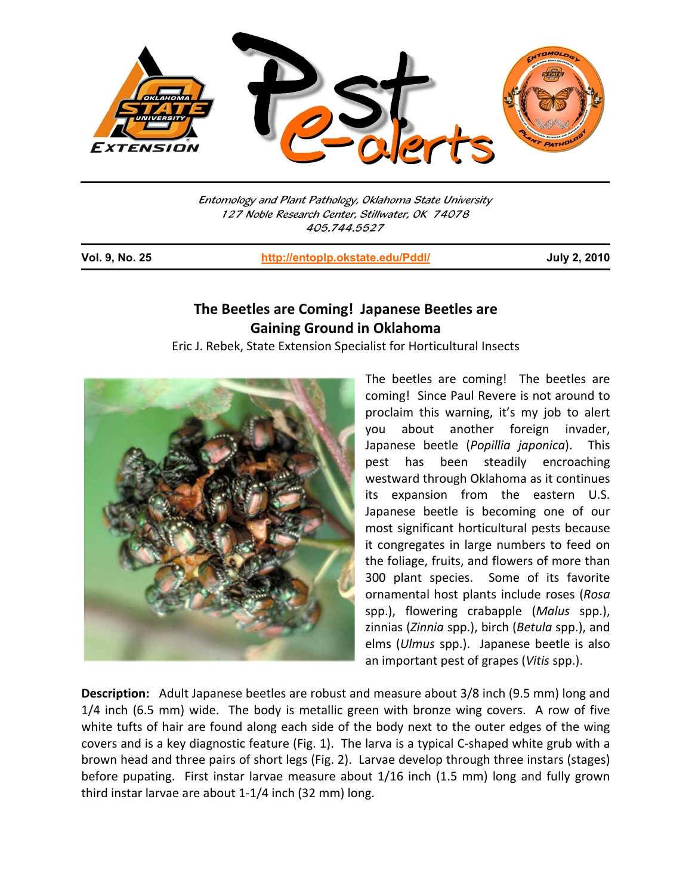

Entomology and Plant Pathology, Oklahoma State University 127 Noble Research Center, Stillwater, OK 74078 405.744.5527

j

**Vol. 9, No. 25 http://entoplp.okstate.edu/Pddl/ July 2, 2010**

## **The Beetles are Coming! Japanese Beetles are Gaining Ground in Oklahoma**

Eric J. Rebek, State Extension Specialist for Horticultural Insects



The beetles are coming! The beetles are coming! Since Paul Revere is not around to proclaim this warning, it's my job to alert you about another foreign invader, Japanese beetle (*Popillia japonica*). This pest has been steadily encroaching westward through Oklahoma as it continues its expansion from the eastern U.S. Japanese beetle is becoming one of our most significant horticultural pests because it congregates in large numbers to feed on the foliage, fruits, and flowers of more than 300 plant species. Some of its favorite ornamental host plants include roses (*Rosa* spp.), flowering crabapple (*Malus* spp.), zinnias (*Zinnia* spp.), birch (*Betula* spp.), and elms (*Ulmus* spp.). Japanese beetle is also an important pest of grapes (*Vitis* spp.).

**Description:** Adult Japanese beetles are robust and measure about 3/8 inch (9.5 mm) long and 1/4 inch (6.5 mm) wide. The body is metallic green with bronze wing covers. A row of five white tufts of hair are found along each side of the body next to the outer edges of the wing covers and is a key diagnostic feature (Fig. 1). The larva is a typical C‐shaped white grub with a brown head and three pairs of short legs (Fig. 2). Larvae develop through three instars (stages) before pupating. First instar larvae measure about 1/16 inch (1.5 mm) long and fully grown third instar larvae are about 1‐1/4 inch (32 mm) long.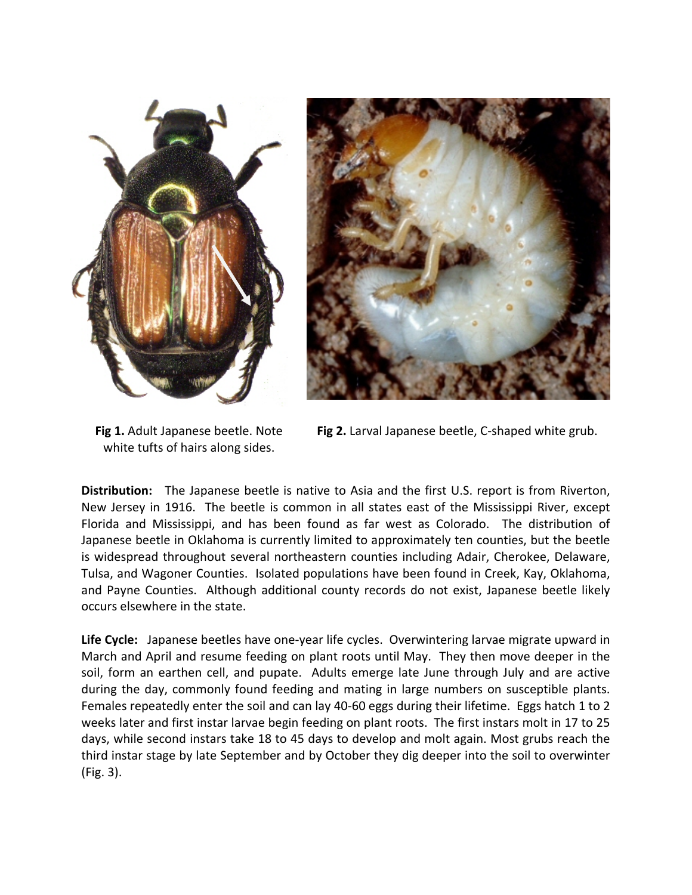



**Fig 1.** Adult Japanese beetle. Note white tufts of hairs along sides.

**Fig 2.** Larval Japanese beetle, C‐shaped white grub.

**Distribution:** The Japanese beetle is native to Asia and the first U.S. report is from Riverton, New Jersey in 1916. The beetle is common in all states east of the Mississippi River, except Florida and Mississippi, and has been found as far west as Colorado. The distribution of Japanese beetle in Oklahoma is currently limited to approximately ten counties, but the beetle is widespread throughout several northeastern counties including Adair, Cherokee, Delaware, Tulsa, and Wagoner Counties. Isolated populations have been found in Creek, Kay, Oklahoma, and Payne Counties. Although additional county records do not exist, Japanese beetle likely occurs elsewhere in the state.

Life Cycle: Japanese beetles have one-year life cycles. Overwintering larvae migrate upward in March and April and resume feeding on plant roots until May. They then move deeper in the soil, form an earthen cell, and pupate. Adults emerge late June through July and are active during the day, commonly found feeding and mating in large numbers on susceptible plants. Females repeatedly enter the soil and can lay 40-60 eggs during their lifetime. Eggs hatch 1 to 2 weeks later and first instar larvae begin feeding on plant roots. The first instars molt in 17 to 25 days, while second instars take 18 to 45 days to develop and molt again. Most grubs reach the third instar stage by late September and by October they dig deeper into the soil to overwinter (Fig. 3).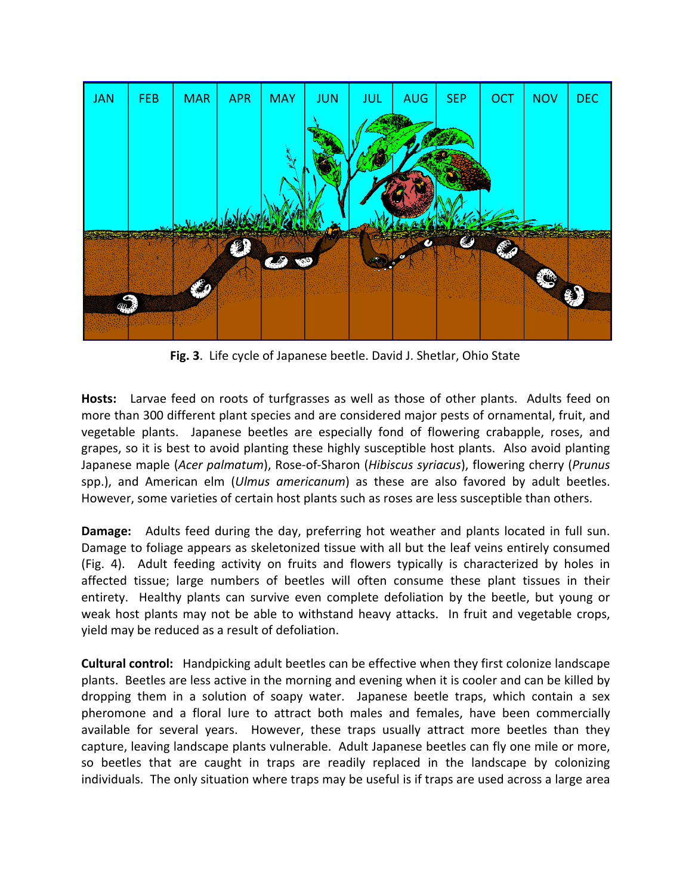

**Fig. 3**. Life cycle of Japanese beetle. David J. Shetlar, Ohio State

**Hosts:** Larvae feed on roots of turfgrasses as well as those of other plants. Adults feed on more than 300 different plant species and are considered major pests of ornamental, fruit, and vegetable plants. Japanese beetles are especially fond of flowering crabapple, roses, and grapes, so it is best to avoid planting these highly susceptible host plants. Also avoid planting Japanese maple (*Acer palmatum*), Rose‐of‐Sharon (*Hibiscus syriacus*), flowering cherry (*Prunus* spp.), and American elm (*Ulmus americanum*) as these are also favored by adult beetles. However, some varieties of certain host plants such as roses are less susceptible than others.

**Damage:** Adults feed during the day, preferring hot weather and plants located in full sun. Damage to foliage appears as skeletonized tissue with all but the leaf veins entirely consumed (Fig. 4). Adult feeding activity on fruits and flowers typically is characterized by holes in affected tissue; large numbers of beetles will often consume these plant tissues in their entirety. Healthy plants can survive even complete defoliation by the beetle, but young or weak host plants may not be able to withstand heavy attacks. In fruit and vegetable crops, yield may be reduced as a result of defoliation.

**Cultural control:** Handpicking adult beetles can be effective when they first colonize landscape plants. Beetles are less active in the morning and evening when it is cooler and can be killed by dropping them in a solution of soapy water. Japanese beetle traps, which contain a sex pheromone and a floral lure to attract both males and females, have been commercially available for several years. However, these traps usually attract more beetles than they capture, leaving landscape plants vulnerable. Adult Japanese beetles can fly one mile or more, so beetles that are caught in traps are readily replaced in the landscape by colonizing individuals. The only situation where traps may be useful is if traps are used across a large area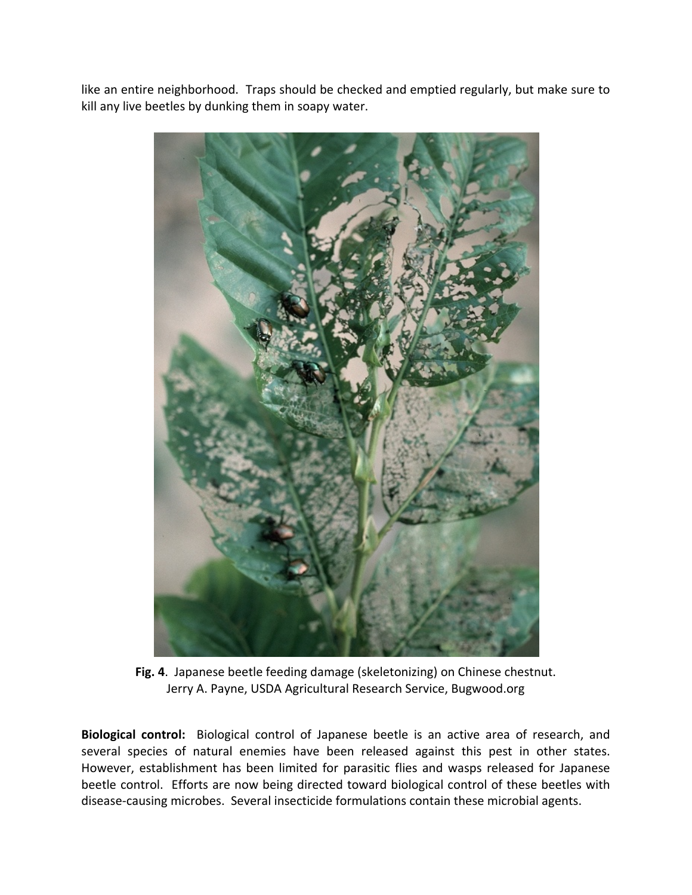like an entire neighborhood. Traps should be checked and emptied regularly, but make sure to kill any live beetles by dunking them in soapy water.



**Fig. 4**. Japanese beetle feeding damage (skeletonizing) on Chinese chestnut. Jerry A. Payne, USDA Agricultural Research Service, Bugwood.org

**Biological control:** Biological control of Japanese beetle is an active area of research, and several species of natural enemies have been released against this pest in other states. However, establishment has been limited for parasitic flies and wasps released for Japanese beetle control. Efforts are now being directed toward biological control of these beetles with disease‐causing microbes. Several insecticide formulations contain these microbial agents.